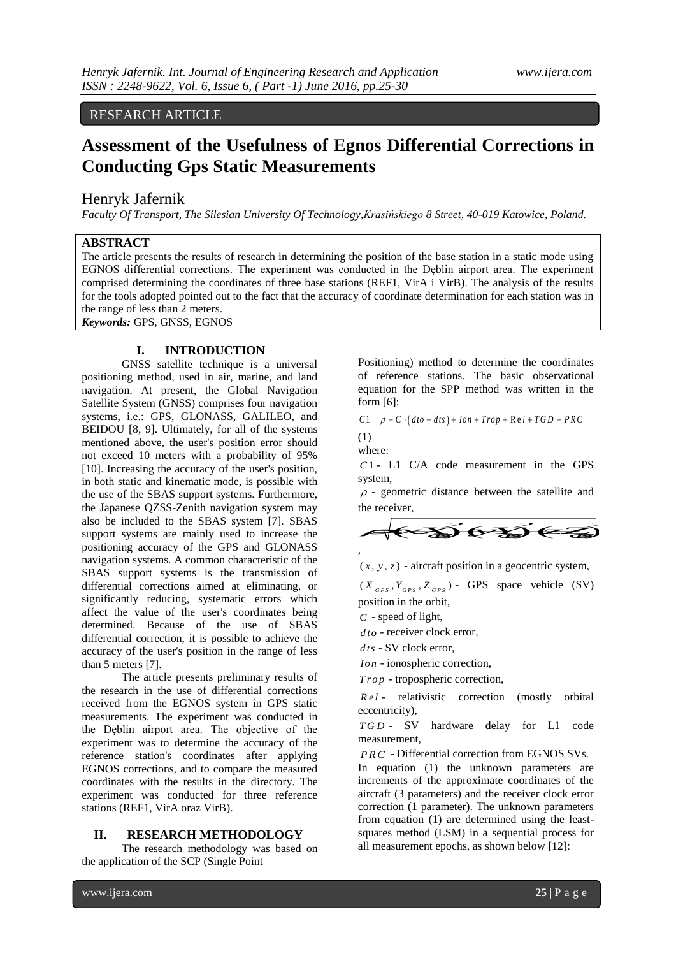## RESEARCH ARTICLE

# **Assessment of the Usefulness of Egnos Differential Corrections in Conducting Gps Static Measurements**

#### Henryk Jafernik

OPEN ACCESS

*Faculty Of Transport, The Silesian University Of Technology,Krasińskiego 8 Street, 40-019 Katowice, Poland.* 

## **ABSTRACT**

The article presents the results of research in determining the position of the base station in a static mode using EGNOS differential corrections. The experiment was conducted in the Dęblin airport area. The experiment comprised determining the coordinates of three base stations (REF1, VirA i VirB). The analysis of the results for the tools adopted pointed out to the fact that the accuracy of coordinate determination for each station was in the range of less than 2 meters. WWW.ijera.com<br> **Atial Corrections in**<br> **Ation in a static mode using**<br>
a estation in a static mode using<br>
n airport area. The experiment<br>
in a static mode using<br>
n airport area. The results<br>
of the results<br>
window for eac *xX yY zZ GPS GPS GPS*

*Keywords:* GPS, GNSS, EGNOS

## **I. INTRODUCTION**

GNSS satellite technique is a universal positioning method, used in air, marine, and land navigation. At present, the Global Navigation Satellite System (GNSS) comprises four navigation systems, i.e.: GPS, GLONASS, GALILEO, and BEIDOU [8, 9]. Ultimately, for all of the systems mentioned above, the user's position error should not exceed 10 meters with a probability of 95% [10]. Increasing the accuracy of the user's position, in both static and kinematic mode, is possible with the use of the SBAS support systems. Furthermore, the Japanese QZSS-Zenith navigation system may also be included to the SBAS system [7]. SBAS support systems are mainly used to increase the positioning accuracy of the GPS and GLONASS navigation systems. A common characteristic of the SBAS support systems is the transmission of differential corrections aimed at eliminating, or significantly reducing, systematic errors which affect the value of the user's coordinates being determined. Because of the use of SBAS differential correction, it is possible to achieve the accuracy of the user's position in the range of less than 5 meters [7].

The article presents preliminary results of the research in the use of differential corrections received from the EGNOS system in GPS static measurements. The experiment was conducted in the Dęblin airport area. The objective of the experiment was to determine the accuracy of the reference station's coordinates after applying EGNOS corrections, and to compare the measured coordinates with the results in the directory. The experiment was conducted for three reference stations (REF1, VirA oraz VirB).

#### **II. RESEARCH METHODOLOGY**

The research methodology was based on the application of the SCP (Single Point

Positioning) method to determine the coordinates of reference stations. The basic observational equation for the SPP method was written in the form [6]: *C*  $1 = p + C \cdot (dto - dts) + Ion + Trop + Re l + TGD + PRC$ 

$$
C1 = \rho + C \cdot (dto - dts) + Ion + Trop + Re l + TGD + PRC
$$

(1) where:

*C*1 - L1 C/A code measurement in the GPS system,

 $\rho$  - geometric distance between the satellite and the receiver,

$$
\rho
$$
 - geometric distance between the satellite and the receiver,

 $(x, y, z)$  - aircraft position in a geocentric system,

 $(X_{GPS}, Y_{GPS}, Z_{GPS})$  - GPS space vehicle (SV) position in the orbit,

*C* - speed of light,

*d to* - receiver clock error,

*d ts* - SV clock error,

*Io n* - ionospheric correction,

*Trop* - tropospheric correction.

*R el* - relativistic correction (mostly orbital eccentricity),

*T G D* - SV hardware delay for L1 code measurement,

*PRC* - Differential correction from EGNOS SVs.

In equation (1) the unknown parameters are increments of the approximate coordinates of the aircraft (3 parameters) and the receiver clock error correction (1 parameter). The unknown parameters from equation (1) are determined using the leastsquares method (LSM) in a sequential process for all measurement epochs, as shown below [12]: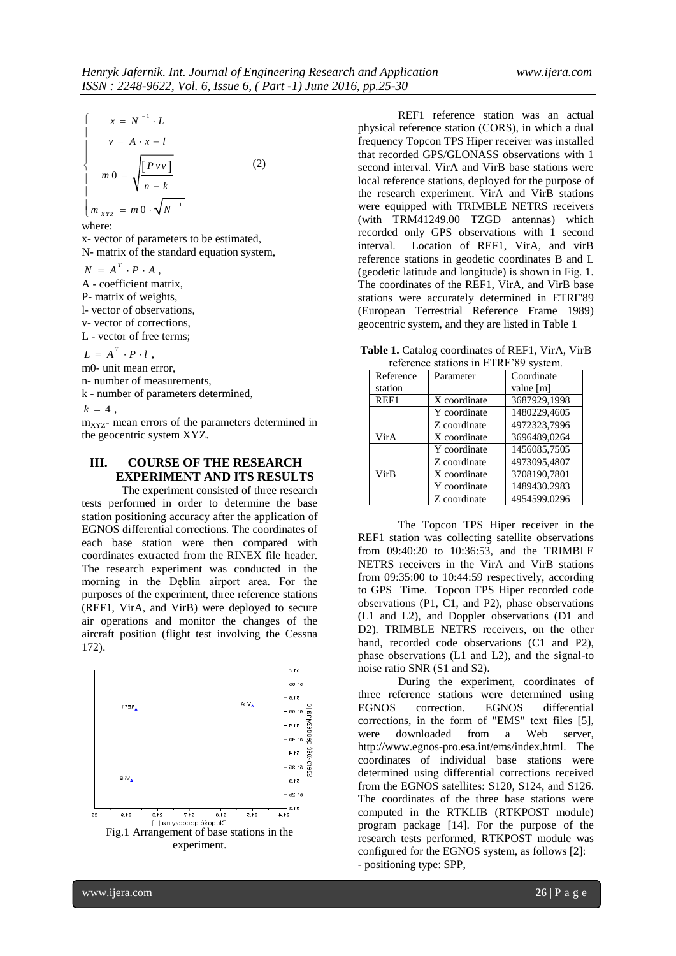$$
\begin{cases}\n x = N^{-1} \cdot L \\
 v = A \cdot x - l \\
 m \cdot 0 = \sqrt{\frac{[P \cdot v]}{n - k}} \\
 m \cdot x_{YZ} = m \cdot 0 \cdot \sqrt{N^{-1}}\n\end{cases}
$$
\n(2)

where:

x- vector of parameters to be estimated, N- matrix of the standard equation system,

 $N = A^T \cdot P \cdot A$ ,

A - coefficient matrix,

P- matrix of weights,

l- vector of observations,

v- vector of corrections,

L - vector of free terms;

 $L = A^T \cdot P \cdot l$ ,

m0- unit mean error,

n- number of measurements,

k - number of parameters determined,

 $k = 4$ .

 $m<sub>XYZ</sub>$ - mean errors of the parameters determined in the geocentric system XYZ.

# **III. COURSE OF THE RESEARCH EXPERIMENT AND ITS RESULTS**

The experiment consisted of three research tests performed in order to determine the base station positioning accuracy after the application of EGNOS differential corrections. The coordinates of each base station were then compared with coordinates extracted from the RINEX file header. The research experiment was conducted in the morning in the Dęblin airport area. For the purposes of the experiment, three reference stations (REF1, VirA, and VirB) were deployed to secure air operations and monitor the changes of the aircraft position (flight test involving the Cessna 172).



REF1 reference station was an actual physical reference station (CORS), in which a dual frequency Topcon TPS Hiper receiver was installed that recorded GPS/GLONASS observations with 1 second interval. VirA and VirB base stations were local reference stations, deployed for the purpose of the research experiment. VirA and VirB stations were equipped with TRIMBLE NETRS receivers (with TRM41249.00 TZGD antennas) which recorded only GPS observations with 1 second interval. Location of REF1, VirA, and virB reference stations in geodetic coordinates B and L (geodetic latitude and longitude) is shown in Fig. 1. The coordinates of the REF1, VirA, and VirB base stations were accurately determined in ETRF'89 (European Terrestrial Reference Frame 1989) geocentric system, and they are listed in Table 1

**Table 1.** Catalog coordinates of REF1, VirA, VirB reference stations in ETRF'89 system.

| Reference | Parameter    | Coordinate   |
|-----------|--------------|--------------|
| station   |              | value [m]    |
| REF1      | X coordinate | 3687929,1998 |
|           | Y coordinate | 1480229,4605 |
|           | Z coordinate | 4972323.7996 |
| VirA      | X coordinate | 3696489,0264 |
|           | Y coordinate | 1456085,7505 |
|           | Z coordinate | 4973095,4807 |
| VirB      | X coordinate | 3708190.7801 |
|           | Y coordinate | 1489430.2983 |
|           | Z coordinate | 4954599.0296 |

The Topcon TPS Hiper receiver in the REF1 station was collecting satellite observations from 09:40:20 to 10:36:53, and the TRIMBLE NETRS receivers in the VirA and VirB stations from 09:35:00 to 10:44:59 respectively, according to GPS Time. Topcon TPS Hiper recorded code observations (P1, C1, and P2), phase observations (L1 and L2), and Doppler observations (D1 and D2). TRIMBLE NETRS receivers, on the other hand, recorded code observations (C1 and P2), phase observations (L1 and L2), and the signal-to noise ratio SNR (S1 and S2).

During the experiment, coordinates of three reference stations were determined using EGNOS correction. EGNOS differential corrections, in the form of "EMS" text files [5], were downloaded from a Web server, http://www.egnos-pro.esa.int/ems/index.html. The coordinates of individual base stations were determined using differential corrections received from the EGNOS satellites: S120, S124, and S126. The coordinates of the three base stations were computed in the RTKLIB (RTKPOST module) program package [14]. For the purpose of the research tests performed, RTKPOST module was configured for the EGNOS system, as follows [2]: - positioning type: SPP,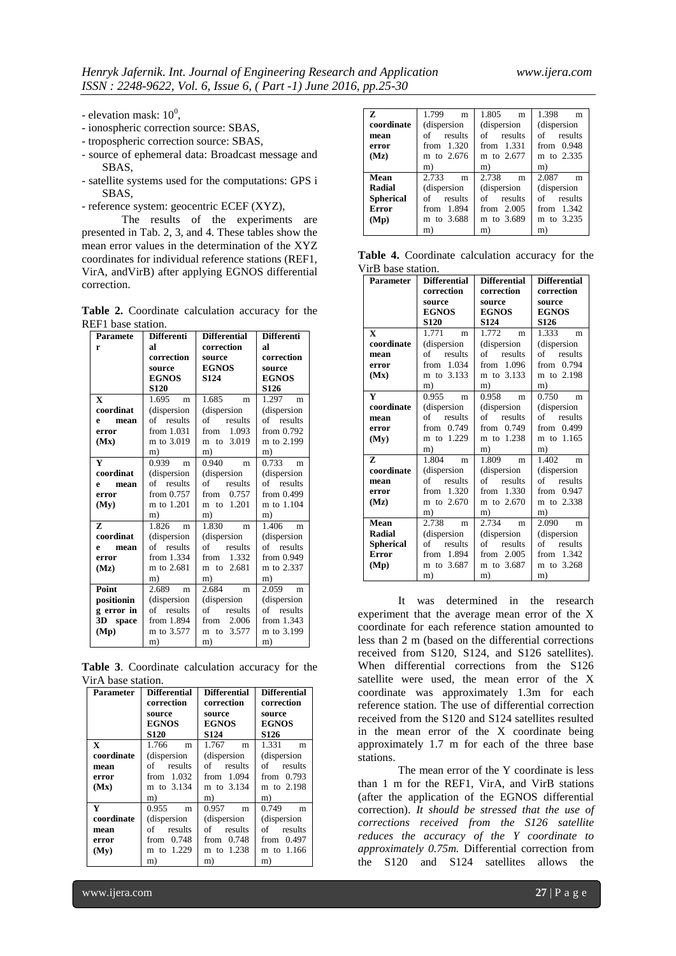- elevation mask:  $10^0$ ,
- ionospheric correction source: SBAS,
- tropospheric correction source: SBAS,
- source of ephemeral data: Broadcast message and SBAS,
- satellite systems used for the computations: GPS i SBAS,
- reference system: geocentric ECEF (XYZ),

The results of the experiments are presented in Tab. 2, 3, and 4. These tables show the mean error values in the determination of the XYZ coordinates for individual reference stations (REF1, VirA, andVirB) after applying EGNOS differential correction.

**Table 2.** Coordinate calculation accuracy for the REF1 base station.

| <b>Paramete</b> | <b>Differenti</b> | <b>Differential</b> | <b>Differenti</b> |
|-----------------|-------------------|---------------------|-------------------|
| r               | яl                | correction          | яl                |
|                 | correction        | source              | correction        |
|                 | source            | <b>EGNOS</b>        | source            |
|                 | <b>EGNOS</b>      | S124                | <b>EGNOS</b>      |
|                 | <b>S120</b>       |                     | S <sub>126</sub>  |
| $\mathbf x$     | $1.695$ m         | 1.685<br>m          | $1.297$ m         |
| coordinat       | (dispersion       | (dispersion         | (dispersion       |
| mean<br>e       | of results        | results<br>of       | of results        |
| error           | from 1.031        | 1.093<br>from       | from $0.792$      |
| (Mx)            | m to 3.019        | m to 3.019          | m to 2.199        |
|                 | m)                | m)                  | m)                |
| Y               | 0.939<br>m        | 0.940<br>m          | 0.733<br>m        |
| coordinat       | (dispersion       | (dispersion         | (dispersion       |
| mean<br>e       | results<br>of     | results<br>of       | results<br>of     |
| error           | from 0.757        | from $0.757$        | from $0.499$      |
| (My)            | m to 1.201        | m to 1.201          | m to 1.104        |
|                 | m)                | m)                  | m)                |
| 7.              | 1.826<br>m        | 1.830<br>m          | 1.406<br>m        |
| coordinat       | (dispersion       | (dispersion         | (dispersion       |
| mean<br>e       | of results        | results<br>of       | of results        |
| error           | from 1.334        | from $1.332$        | from 0.949        |
| (Mz)            | m to 2.681        | m to 2.681          | m to 2.337        |
|                 | m)                | m)                  | m)                |
| Point           | 2.689<br>m        | 2.684<br>m          | 2.059<br>m        |
| positionin      | (dispersion       | (dispersion         | (dispersion       |
| g error in      | results<br>of     | of<br>results       | of<br>results     |
| 3D space        | from 1.894        | from $2.006$        | from $1.343$      |
| (Mp)            | m to 3.577        | to 3.577<br>m       | m to 3.199        |
|                 | m)                | m)                  | m)                |

**Table 3**. Coordinate calculation accuracy for the VirA base station.

| <b>Parameter</b> | <b>Differential</b><br>correction | <b>Differential</b><br>correction | <b>Differential</b><br>correction |
|------------------|-----------------------------------|-----------------------------------|-----------------------------------|
|                  | source                            | source                            | source                            |
|                  | <b>EGNOS</b>                      | <b>EGNOS</b>                      | <b>EGNOS</b>                      |
|                  | <b>S120</b>                       | S <sub>124</sub>                  | S <sub>126</sub>                  |
| X                | 1.766<br>m                        | 1.767<br>m                        | 1.331<br>m                        |
| coordinate       | (dispersion                       | (dispersion                       | (dispersion                       |
| mean             | of results                        | of results                        | of results                        |
| error            | from $1.032$                      | from $1.094$                      | from $0.793$                      |
| (Mx)             | m to 3.134                        | m to 3.134                        | m to 2.198                        |
|                  | m)                                | m)                                | m)                                |
| Y                | 0.955<br>m                        | 0.957<br>m                        | 0.749<br>m                        |
| coordinate       | (dispersion)                      | (dispersion                       | (dispersion)                      |
| mean             | of<br>results                     | of results                        | of results                        |
| error            | from $0.748$                      | from $0.748$                      | from $0.497$                      |
| (Mv)             | m to 1.229                        | m to 1.238                        | m to 1.166                        |
|                  | m)                                | m)                                | m)                                |

| z                | 1.799<br>m   | 1.805<br>m   | 1.398<br>m   |
|------------------|--------------|--------------|--------------|
| coordinate       | (dispersion  | (dispersion) | (dispersion) |
| mean             | of results   | of results   | of results   |
| error            | from $1.320$ | from $1.331$ | from $0.948$ |
| (Mz)             | m to 2.676   | m to 2.677   | m to 2.335   |
|                  | m)           | m)           | m)           |
| Mean             | 2.733<br>m   | 2.738<br>m   | 2.087<br>m   |
| Radial           | (dispersion  | (dispersion  | (dispersion) |
| <b>Spherical</b> | of results   | of results   | of results   |
| <b>Error</b>     | from 1.894   | from $2.005$ | from $1.342$ |
| (Mp)             | m to 3.688   | m to 3.689   | m to 3.235   |
|                  | m)           | m)           | m)           |

**Table 4.** Coordinate calculation accuracy for the VirB base station.

| <b>Parameter</b> | <b>Differential</b>    | <b>Differential</b> | <b>Differential</b>    |
|------------------|------------------------|---------------------|------------------------|
|                  | correction             | correction          | correction             |
|                  | source                 | source              | source                 |
|                  | <b>EGNOS</b>           | <b>EGNOS</b>        | <b>EGNOS</b>           |
|                  | <b>S120</b>            | <b>S124</b>         | <b>S126</b>            |
| $\mathbf{x}$     | 1.771<br>m             | 1.772<br>m          | 1.333<br>m             |
| coordinate       | (dispersion            | (dispersion         | (dispersion)           |
| mean             | results<br>of          | results<br>of       | of<br>results          |
| error            | 1.034<br>from          | 1.096<br>from       | 0.794<br>from          |
| (Mx)             | m to 3.133             | m to 3.133          | m to 2.198             |
|                  | m)                     | m)                  | m)                     |
| Y                | 0.955<br>m             | 0.958<br>m          | 0.750<br>m             |
| coordinate       | (dispersion            | (dispersion)        | (dispersion)           |
| mean             | of<br>results          | of results          | of<br>results          |
| error            | 0.749<br>from          | 0.749<br>from       | from $0.499$           |
| (Mv)             | m to 1.229             | m to 1.238          | m to 1.165             |
|                  | m)                     | m)                  | m)                     |
| Z                | 1.804<br>m             | 1.809<br>m          | 1.402<br>m             |
| coordinate       | (dispersion            | (dispersion)        | (dispersion            |
| mean             | results<br>of          | results<br>of       | results<br>of          |
| error            | 1.320<br>from          | from $1.330$        | from $0.947$           |
| (Mz)             | m to 2.670             | m to 2.670          | m to 2.338             |
|                  | m)                     | m)                  | m)                     |
| Mean             | 2.738<br>m             | 2.734<br>m          | 2.090<br>m             |
| <b>Radial</b>    | (dispersion            | (dispersion         | (dispersion            |
| <b>Spherical</b> | $\sigma$ of<br>results | of<br>results       | $\sigma$ of<br>results |
| Error            | 1.894<br>from          | 2.005<br>from       | 1.342<br>from          |
| (Mp)             | m to 3.687             | m to 3.687          | m to 3.268             |
|                  | m)                     | m)                  | m)                     |

It was determined in the research experiment that the average mean error of the X coordinate for each reference station amounted to less than 2 m (based on the differential corrections received from S120, S124, and S126 satellites). When differential corrections from the S126 satellite were used, the mean error of the X coordinate was approximately 1.3m for each reference station. The use of differential correction received from the S120 and S124 satellites resulted in the mean error of the X coordinate being approximately 1.7 m for each of the three base stations.

The mean error of the Y coordinate is less than 1 m for the REF1, VirA, and VirB stations (after the application of the EGNOS differential correction). *It should be stressed that the use of corrections received from the S126 satellite reduces the accuracy of the Y coordinate to approximately 0.75m.* Differential correction from the S120 and S124 satellites allows the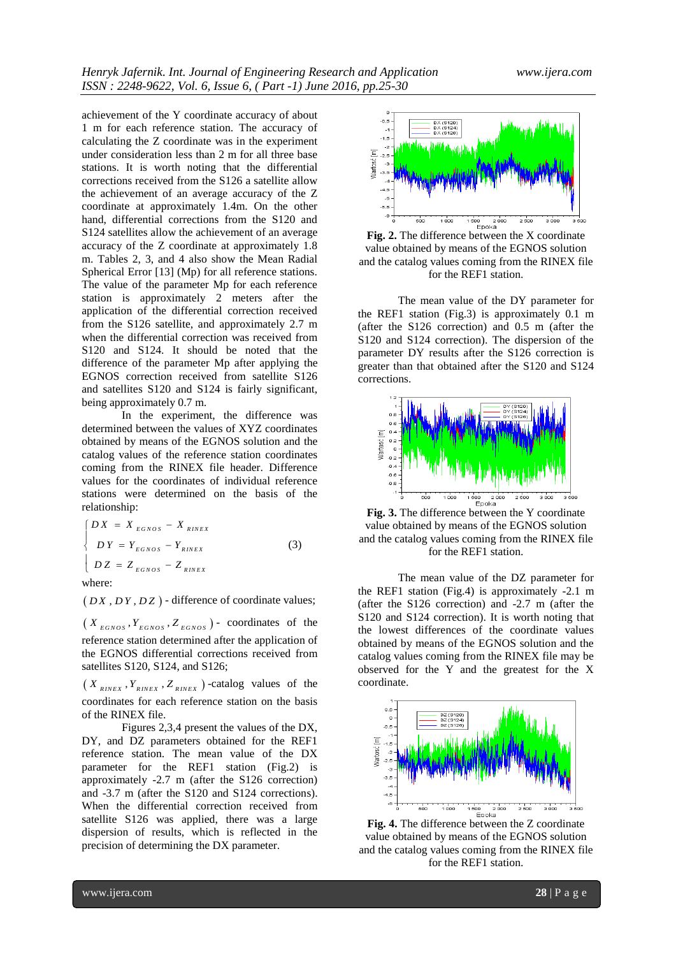achievement of the Y coordinate accuracy of about 1 m for each reference station. The accuracy of calculating the Z coordinate was in the experiment under consideration less than 2 m for all three base stations. It is worth noting that the differential corrections received from the S126 a satellite allow the achievement of an average accuracy of the Z coordinate at approximately 1.4m. On the other hand, differential corrections from the S120 and S124 satellites allow the achievement of an average accuracy of the Z coordinate at approximately 1.8 m. Tables 2, 3, and 4 also show the Mean Radial Spherical Error [13] (Mp) for all reference stations. The value of the parameter Mp for each reference station is approximately 2 meters after the application of the differential correction received from the S126 satellite, and approximately 2.7 m when the differential correction was received from S120 and S124. It should be noted that the difference of the parameter Mp after applying the EGNOS correction received from satellite S126 and satellites S120 and S124 is fairly significant, being approximately 0.7 m.

In the experiment, the difference was determined between the values of XYZ coordinates obtained by means of the EGNOS solution and the catalog values of the reference station coordinates coming from the RINEX file header. Difference values for the coordinates of individual reference stations were determined on the basis of the relationship:

$$
\begin{cases}\nDX = X_{EGNOS} - X_{RINEX} \\
DY = Y_{EGNOS} - Y_{RINEX} \\
DZ = Z_{EGNOS} - Z_{RINEX}\n\end{cases}
$$
\n(3)

where:

 $(D X, DY, D Z)$  - difference of coordinate values;

 $(X_{EGNOS}, Y_{EGNOS}, Z_{EGNOS})$  - coordinates of the reference station determined after the application of the EGNOS differential corrections received from satellites S120, S124, and S126;

 $(X_{RINEX}, Y_{RINEX}, Z_{RINEX})$ -catalog values of the coordinates for each reference station on the basis of the RINEX file.

Figures 2,3,4 present the values of the DX, DY, and DZ parameters obtained for the REF1 reference station. The mean value of the DX parameter for the REF1 station (Fig.2) is approximately -2.7 m (after the S126 correction) and -3.7 m (after the S120 and S124 corrections). When the differential correction received from satellite S126 was applied, there was a large dispersion of results, which is reflected in the precision of determining the DX parameter.



**Fig. 2.** The difference between the X coordinate value obtained by means of the EGNOS solution and the catalog values coming from the RINEX file for the REF1 station.

The mean value of the DY parameter for the REF1 station (Fig.3) is approximately 0.1 m (after the S126 correction) and 0.5 m (after the S120 and S124 correction). The dispersion of the parameter DY results after the S126 correction is greater than that obtained after the S120 and S124 corrections.



**Fig. 3.** The difference between the Y coordinate value obtained by means of the EGNOS solution and the catalog values coming from the RINEX file for the REF1 station.

The mean value of the DZ parameter for the REF1 station (Fig.4) is approximately -2.1 m (after the S126 correction) and -2.7 m (after the S120 and S124 correction). It is worth noting that the lowest differences of the coordinate values obtained by means of the EGNOS solution and the catalog values coming from the RINEX file may be observed for the Y and the greatest for the X coordinate.



**Fig. 4.** The difference between the Z coordinate value obtained by means of the EGNOS solution and the catalog values coming from the RINEX file for the REF1 station.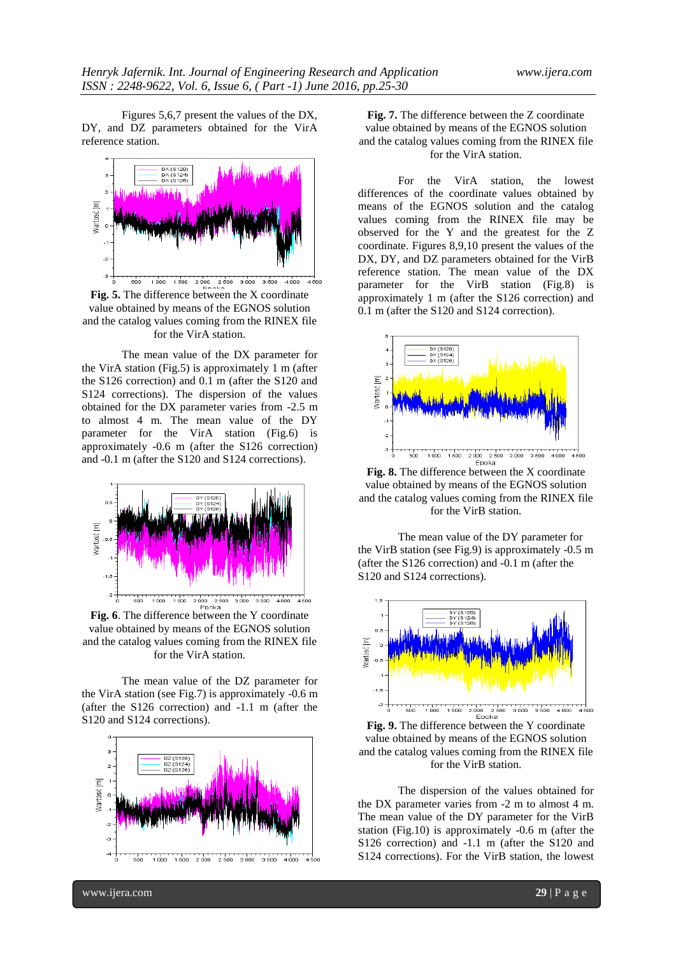Figures 5,6,7 present the values of the DX, DY, and DZ parameters obtained for the VirA reference station.



**Fig. 5.** The difference between the X coordinate value obtained by means of the EGNOS solution and the catalog values coming from the RINEX file for the VirA station.

The mean value of the DX parameter for the VirA station (Fig.5) is approximately 1 m (after the S126 correction) and 0.1 m (after the S120 and S124 corrections). The dispersion of the values obtained for the DX parameter varies from -2.5 m to almost 4 m. The mean value of the DY parameter for the VirA station (Fig.6) is approximately -0.6 m (after the S126 correction) and -0.1 m (after the S120 and S124 corrections).



**Fig. 6**. The difference between the Y coordinate value obtained by means of the EGNOS solution and the catalog values coming from the RINEX file for the VirA station.

The mean value of the DZ parameter for the VirA station (see Fig.7) is approximately -0.6 m (after the S126 correction) and -1.1 m (after the S120 and S124 corrections).



**Fig. 7.** The difference between the Z coordinate value obtained by means of the EGNOS solution and the catalog values coming from the RINEX file for the VirA station.

For the VirA station, the lowest differences of the coordinate values obtained by means of the EGNOS solution and the catalog values coming from the RINEX file may be observed for the Y and the greatest for the Z coordinate. Figures 8,9,10 present the values of the DX, DY, and DZ parameters obtained for the VirB reference station. The mean value of the DX parameter for the VirB station (Fig.8) is approximately 1 m (after the S126 correction) and 0.1 m (after the S120 and S124 correction).



**Fig. 8.** The difference between the X coordinate value obtained by means of the EGNOS solution and the catalog values coming from the RINEX file for the VirB station.

The mean value of the DY parameter for the VirB station (see Fig.9) is approximately -0.5 m (after the S126 correction) and -0.1 m (after the S120 and S124 corrections).



**Fig. 9.** The difference between the Y coordinate value obtained by means of the EGNOS solution and the catalog values coming from the RINEX file for the VirB station.

The dispersion of the values obtained for the DX parameter varies from -2 m to almost 4 m. The mean value of the DY parameter for the VirB station (Fig.10) is approximately -0.6 m (after the S126 correction) and -1.1 m (after the S120 and S124 corrections). For the VirB station, the lowest